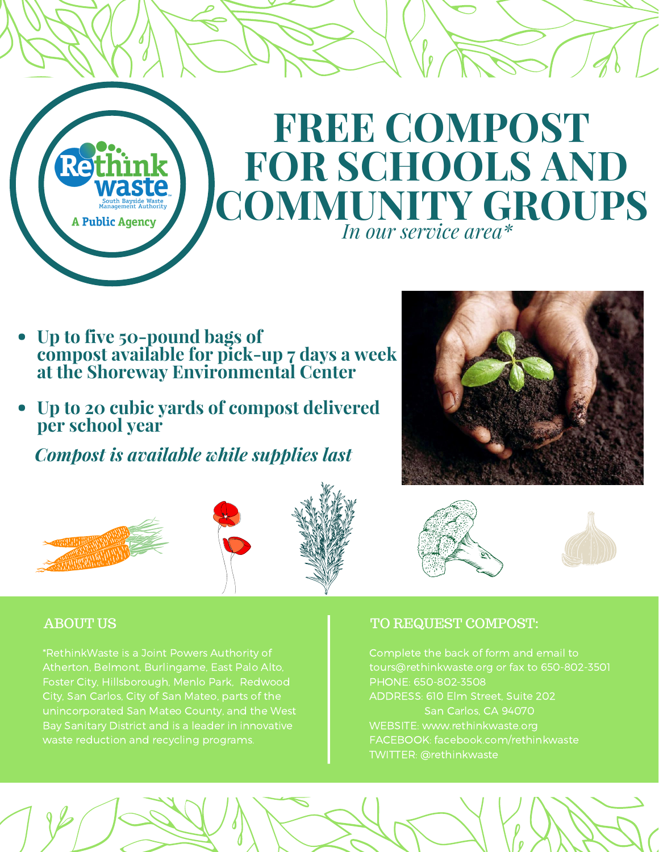

- **Up to five 50-pound bags of compost available for pick-up 7 days a week at the Shoreway Environmental Center**
- **Up to 20 cubic yards of compost delivered per school year**

*Compost is available while supplies last*







\*RethinkWaste is a Joint Powers Authority of Atherton, Belmont, Burlingame, East Palo Alto, Foster City, Hillsborough, Menlo Park, Redwood unincorporated San Mateo County, and the West Bay Sanitary District and is a leader in innovative

#### ABOUT US ALL COMPOST: AREQUEST COMPOST:

Complete the back of form and email to tours@rethinkwaste.org or fax to 650-802-3501 PHONE: 650-802-3508 ADDRESS: 610 Elm Street, Suite 202 San Carlos, CA 94070 WEBSITE: www.rethinkwaste.org FACEBOOK: facebook.com/rethinkwaste TWITTER: @rethinkwaste